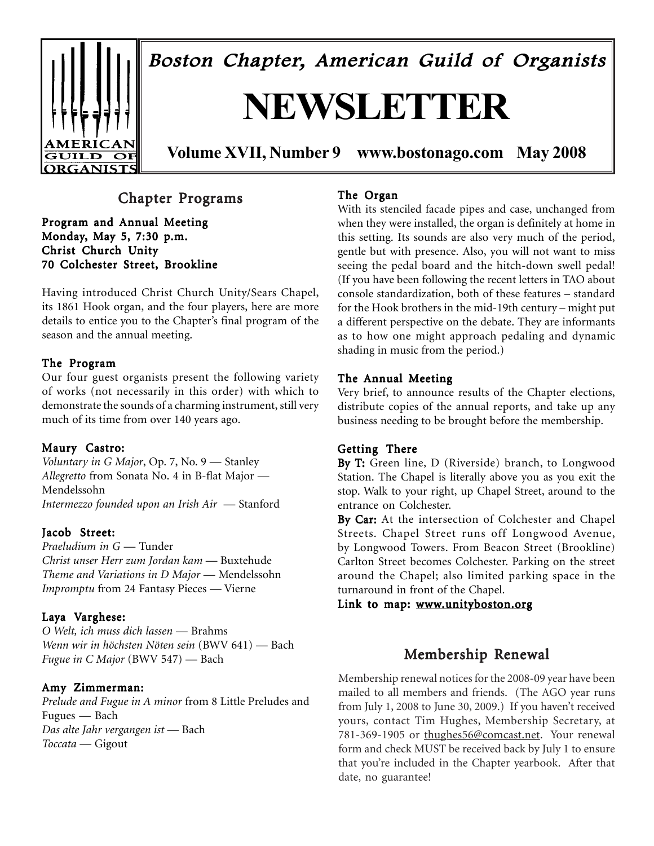

Boston Chapter, American Guild of Organists

# **NEWSLETTER**

**Volume XVII, Number 9 www.bostonago.com May 2008**

### Chapter Programs

Program and Annual Meeting Monday, May 5, 7:30 p.m. Christ Church Unity 70 Colchester Street, Brookline

Having introduced Christ Church Unity/Sears Chapel, its 1861 Hook organ, and the four players, here are more details to entice you to the Chapter's final program of the season and the annual meeting.

#### The Program

Our four guest organists present the following variety of works (not necessarily in this order) with which to demonstrate the sounds of a charming instrument, still very much of its time from over 140 years ago.

#### Maury Castro:

*Voluntary in G Major*, Op. 7, No. 9 — Stanley *Allegretto* from Sonata No. 4 in B-flat Major — Mendelssohn *Intermezzo founded upon an Irish Air* — Stanford

#### Jacob Street:

*Praeludium in G* — Tunder *Christ unser Herr zum Jordan kam* — Buxtehude *Theme and Variations in D Major* — Mendelssohn *Impromptu* from 24 Fantasy Pieces — Vierne

#### Laya Varghese:

*O Welt, ich muss dich lassen* — Brahms *Wenn wir in höchsten Nöten sein* (BWV 641) — Bach *Fugue in C Major* (BWV 547) — Bach

#### Amy Zimmerman:

*Prelude and Fugue in A minor* from 8 Little Preludes and Fugues — Bach *Das alte Jahr vergangen ist* — Bach *Toccata* — Gigout

#### The Organ

With its stenciled facade pipes and case, unchanged from when they were installed, the organ is definitely at home in this setting. Its sounds are also very much of the period, gentle but with presence. Also, you will not want to miss seeing the pedal board and the hitch-down swell pedal! (If you have been following the recent letters in TAO about console standardization, both of these features – standard for the Hook brothers in the mid-19th century – might put a different perspective on the debate. They are informants as to how one might approach pedaling and dynamic shading in music from the period.)

#### The Annual Meeting

Very brief, to announce results of the Chapter elections, distribute copies of the annual reports, and take up any business needing to be brought before the membership.

#### Getting There

By T: Green line, D (Riverside) branch, to Longwood Station. The Chapel is literally above you as you exit the stop. Walk to your right, up Chapel Street, around to the entrance on Colchester.

By Car: At the intersection of Colchester and Chapel Streets. Chapel Street runs off Longwood Avenue, by Longwood Towers. From Beacon Street (Brookline) Carlton Street becomes Colchester. Parking on the street around the Chapel; also limited parking space in the turnaround in front of the Chapel.

Link to map: www.unityboston.org

### Membership Renewal

Membership renewal notices for the 2008-09 year have been mailed to all members and friends. (The AGO year runs from July 1, 2008 to June 30, 2009.) If you haven't received yours, contact Tim Hughes, Membership Secretary, at 781-369-1905 or thughes56@comcast.net. Your renewal form and check MUST be received back by July 1 to ensure that you're included in the Chapter yearbook. After that date, no guarantee!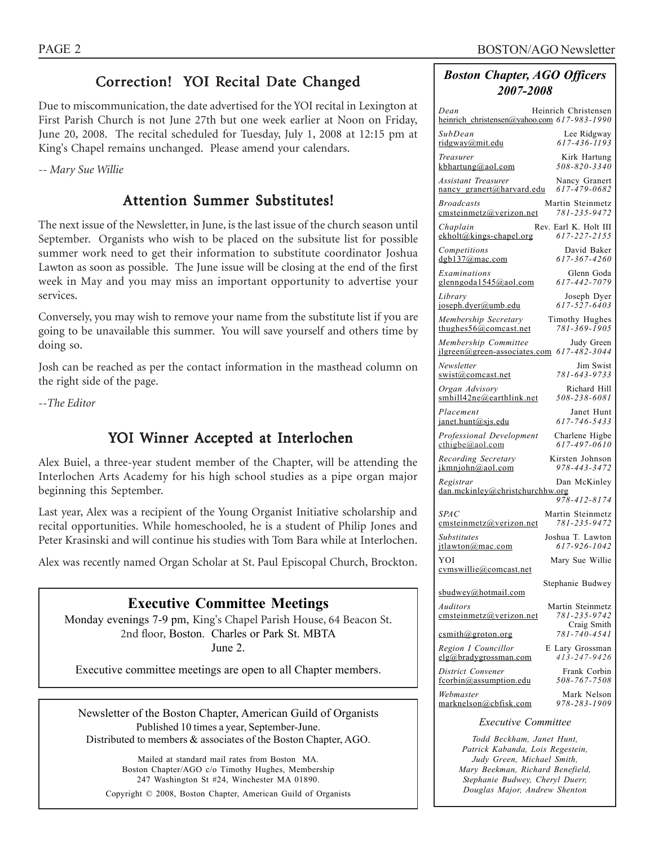### Correction! YOI Recital Date Changed

Due to miscommunication, the date advertised for the YOI recital in Lexington at First Parish Church is not June 27th but one week earlier at Noon on Friday, June 20, 2008. The recital scheduled for Tuesday, July 1, 2008 at 12:15 pm at King's Chapel remains unchanged. Please amend your calendars.

*-- Mary Sue Willie*

### Attention Summer Substitutes!

The next issue of the Newsletter, in June, is the last issue of the church season until September. Organists who wish to be placed on the subsitute list for possible summer work need to get their information to substitute coordinator Joshua Lawton as soon as possible. The June issue will be closing at the end of the first week in May and you may miss an important opportunity to advertise your services.

Conversely, you may wish to remove your name from the substitute list if you are going to be unavailable this summer. You will save yourself and others time by doing so.

Josh can be reached as per the contact information in the masthead column on the right side of the page.

*--The Editor*

### YOI Winner Accepted at Interlochen

Alex Buiel, a three-year student member of the Chapter, will be attending the Interlochen Arts Academy for his high school studies as a pipe organ major beginning this September.

Last year, Alex was a recipient of the Young Organist Initiative scholarship and recital opportunities. While homeschooled, he is a student of Philip Jones and Peter Krasinski and will continue his studies with Tom Bara while at Interlochen.

Alex was recently named Organ Scholar at St. Paul Episcopal Church, Brockton.

### **Executive Committee Meetings** Monday evenings 7-9 pm, King's Chapel Parish House, 64 Beacon St. 2nd floor, Boston. Charles or Park St. MBTA

June 2.

Executive committee meetings are open to all Chapter members.

Newsletter of the Boston Chapter, American Guild of Organists Published 10 times a year, September-June. Distributed to members & associates of the Boston Chapter, AGO.

Mailed at standard mail rates from Boston MA. Boston Chapter/AGO c/o Timothy Hughes, Membership 247 Washington St #24, Winchester MA 01890. Copyright © 2008, Boston Chapter, American Guild of Organists *Boston Chapter, AGO Officers 2007-2008*

| Dean<br>heinrich christensen@yahoo.com 617-983-1990 | Heinrich Christensen                            |
|-----------------------------------------------------|-------------------------------------------------|
| SubDean                                             | Lee Ridgway                                     |
| ridgway@mit.edu                                     | 617-436-1193                                    |
| Treasurer                                           | Kirk Hartung                                    |
| kbhartung@aol.com                                   | 508-820-3340                                    |
| <b>Assistant Treasurer</b>                          | Nancy Granert                                   |
| nancy_granert@harvard.edu                           | 617-479-0682                                    |
| <b>Broadcasts</b>                                   | Martin Steinmetz                                |
| emsteinmetz@verizon.net                             | 781-235-9472                                    |
| Chaplain                                            | Rev. Earl K. Holt III                           |
| ekholt@kings-chapel.org                             | 617-227-2155                                    |
| Competitions                                        | David Baker                                     |
| $d$ gb137@mac.com                                   | 617-367-4260                                    |
| Examinations                                        | Glenn Goda                                      |
| glenngoda1545@aol.com                               | 617-442-7079                                    |
| Library                                             | Joseph Dyer                                     |
| joseph.dyer@umb.edu                                 | 617-527-6403                                    |
| Membership Secretary                                | Timothy Hughes                                  |
| thughes $56@$ comcast.net                           | 781-369-1905                                    |
| Membership Committee                                | Judy Green                                      |
| jlgreen@green-associates.com                        | 617-482-3044                                    |
| Newsletter                                          | Jim Swist                                       |
| swist@comcast.net                                   | 781-643-9733                                    |
| Organ Advisory                                      | Richard Hill                                    |
| smhill42ne@earthlink.net                            | 508-238-6081                                    |
| Placement                                           | Janet Hunt                                      |
| janet.hunt@sjs.edu                                  | 617-746-5433                                    |
| Professional Development                            | Charlene Higbe                                  |
| $\text{cthigbe}(a)$ aol.com                         | 617-497-0610                                    |
| Recording Secretary                                 | Kirsten Johnson                                 |
| jkmnjohn@aol.com                                    | 978-443-3472                                    |
| Registrar<br>dan.mckinley@christchurchhw.org        | Dan McKinley                                    |
| <b>SPAC</b>                                         | 978-412-8174<br>Martin Steinmetz                |
| emsteinmetz@verizon.net                             | 781-235-9472                                    |
| <b>Substitutes</b>                                  | Joshua T. Lawton                                |
| itlawton@mac.com                                    | 617-926-1042                                    |
| YOI<br>cymswillie@comcast.net                       | Mary Sue Willie                                 |
|                                                     | Stephanie Budwey                                |
| subdown@hotmail.com                                 |                                                 |
| Auditors<br>emsteinmetz@verizon.net                 | Martin Steinmetz<br>781-235-9742<br>Craig Smith |
| csmith@groton.org                                   | 781-740-4541                                    |
| Region I Councillor                                 | E Lary Grossman                                 |
| elg@bradvgrossman.com                               | $413 - 247 - 9426$                              |
| District Convener                                   | Frank Corbin                                    |
| fcorbin@assumption.edu                              | 508-767-7508                                    |
| Webmaster                                           | Mark Nelson                                     |
| marknelson@cbfisk.com                               | 978-283-1909                                    |
| <i>Executive Committee</i>                          |                                                 |
| $dd$ Dookham                                        | $m \wedge t$                                    |

*Todd Beckham, Janet Hunt, Patrick Kabanda, Lois Regestein, Judy Green, Michael Smith, Mary Beekman, Richard Benefield, Stephanie Budwey, Cheryl Duerr, Douglas Major, Andrew Shenton*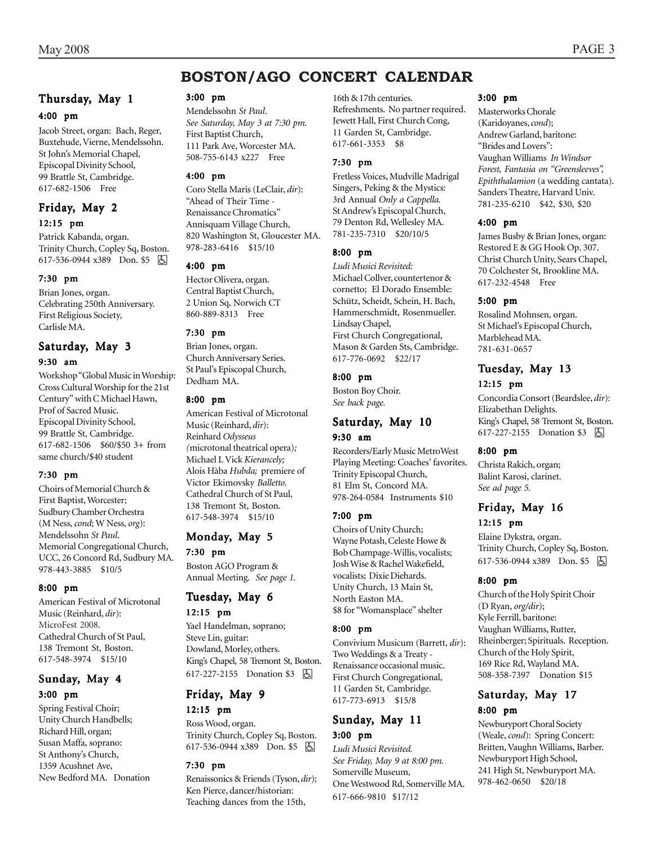### **BOSTON/AGO CONCERT CALENDAR**

#### Thursday, May 1

#### 4:00 pm

Jacob Street, organ: Bach, Reger, Buxtehude, Vierne, Mendelssohn. St John's Memorial Chapel, Episcopal Divinity School, 99 Brattle St, Cambridge. 617-682-1506 Free

#### Friday, May 2 12:15 pm

Patrick Kabanda, organ. Trinity Church, Copley Sq, Boston. 617-536-0944 x389 Don. \$5 | A

#### 7:30 pm

Brian Jones, organ. Celebrating 250th Anniversary. First Religious Society, Carlisle MA.

#### Saturday, May 3

#### 9:30 am

Workshop "Global Music in Worship: Cross Cultural Worship for the 21st Century" with C Michael Hawn, Prof of Sacred Music. Episcopal Divinity School, 99 Brattle St, Cambridge. 617-682-1506 \$60/\$50 3+ from same church/\$40 student

#### 7:30 pm

Choirs of Memorial Church & First Baptist, Worcester; Sudbury Chamber Orchestra (M Ness, *cond*; W Ness, *org*): Mendelssohn *St Paul*. Memorial Congregational Church, UCC, 26 Concord Rd, Sudbury MA. 978-443-3885 \$10/5

#### 8:00 pm

American Festival of Microtonal Music (Reinhard, *dir*): MicroFest 2008. Cathedral Church of St Paul, 138 Tremont St, Boston. 617-548-3974 \$15/10

#### Sunday, May 4 3:00 pm

Spring Festival Choir; Unity Church Handbells; Richard Hill, organ; Susan Maffa, soprano: St Anthony's Church, 1359 Acushnet Ave, New Bedford MA. Donation

#### 3:00 pm

Mendelssohn *St Paul*. *See Saturday, May 3 at 7:30 pm.* First Baptist Church, 111 Park Ave, Worcester MA. 508-755-6143 x227 Free

#### 4:00 pm

Coro Stella Maris (LeClair, *dir*): "Ahead of Their Time - Renaissance Chromatics" Annisquam Village Church, 820 Washington St, Gloucester MA. 978-283-6416 \$15/10

#### 4:00 pm

Hector Olivera, organ. Central Baptist Church, 2 Union Sq, Norwich CT 860-889-8313 Free

#### 7:30 pm

Brian Jones, organ. Church Anniversary Series. St Paul's Episcopal Church, Dedham MA.

#### 8:00 pm

American Festival of Microtonal Music (Reinhard, *dir*): Reinhard *Odysseus (*microtonal theatrical opera)*;* Michael L Vick *Kierancely;* Alois Hàba *Hubda;* premiere of Victor Ekimovsky *Balletto.* Cathedral Church of St Paul, 138 Tremont St, Boston. 617-548-3974 \$15/10

#### Monday, May 5

7:30 pm

Boston AGO Program & Annual Meeting. *See page 1.*

### Tuesday, May 6

12:15 pm

Yael Handelman, soprano; Steve Lin, guitar: Dowland, Morley, others. King's Chapel, 58 Tremont St, Boston. 617-227-2155 Donation \$3 因

## Friday, May 9

12:15 pm

Ross Wood, organ. Trinity Church, Copley Sq, Boston. 617-536-0944 x389 Don. \$5

#### 7:30 pm

Renaissonics & Friends (Tyson, *dir*); Ken Pierce, dancer/historian: Teaching dances from the 15th,

16th & 17th centuries. Refreshments. No partner required. Jewett Hall, First Church Cong, 11 Garden St, Cambridge. 617-661-3353 \$8

#### 7:30 pm

Fretless Voices, Mudville Madrigal Singers, Peking & the Mystics: 3rd Annual *Only a Cappella.* St Andrew's Episcopal Church, 79 Denton Rd, Wellesley MA. 781-235-7310 \$20/10/5

#### 8:00 pm

*Ludi Musici Revisited:* Michael Collver, countertenor & cornetto; El Dorado Ensemble: Schütz, Scheidt, Schein, H. Bach, Hammerschmidt, Rosenmueller. Lindsay Chapel, First Church Congregational, Mason & Garden Sts, Cambridge. 617-776-0692 \$22/17

#### 8:00 pm

Boston Boy Choir. *See back page.*

#### Saturday, May 10 9:30 am

Recorders/Early Music MetroWest Playing Meeting: Coaches' favorites. Trinity Episcopal Church, 81 Elm St, Concord MA. 978-264-0584 Instruments \$10

#### 7:00 pm

Choirs of Unity Church; Wayne Potash, Celeste Howe & Bob Champage-Willis, vocalists; Josh Wise & Rachel Wakefield, vocalists; Dixie Diehards. Unity Church, 13 Main St, North Easton MA. \$8 for "Womansplace" shelter

#### 8:00 pm

Convivium Musicum (Barrett, *dir*): Two Weddings & a Treaty - Renaissance occasional music. First Church Congregational, 11 Garden St, Cambridge. 617-773-6913 \$15/8

#### Sunday, May 11 3:00 pm

*Ludi Musici Revisited. See Friday, May 9 at 8:00 pm.* Somerville Museum, One Westwood Rd, Somerville MA. 617-666-9810 \$17/12

#### 3:00 pm

Masterworks Chorale (Karidoyanes, *cond*); Andrew Garland, baritone: "Brides and Lovers": Vaughan Williams *In Windsor Forest, Fantasia on "Greensleeves", Epiththalamion* (a wedding cantata). Sanders Theatre, Harvard Univ. 781-235-6210 \$42, \$30, \$20

#### 4:00 pm

James Busby & Brian Jones, organ: Restored E & GG Hook Op. 307. Christ Church Unity, Sears Chapel, 70 Colchester St, Brookline MA. 617-232-4548 Free

#### 5:00 pm

Rosalind Mohnsen, organ. St Michael's Episcopal Church, Marblehead MA. 781-631-0657

#### Tuesday, May 13 12:15 pm

Concordia Consort (Beardslee, *dir*): Elizabethan Delights. King's Chapel, 58 Tremont St, Boston. 617-227-2155 Donation \$3 因

#### 8:00 pm

Christa Rakich, organ; Balint Karosi, clarinet. *See ad page 5.*

#### Friday, May 16 12:15 pm

Elaine Dykstra, organ. Trinity Church, Copley Sq, Boston. 617-536-0944 x389 Don. \$5  $\boxed{6}$ 

#### 8:00 pm

Church of the Holy Spirit Choir (D Ryan, *org/dir*); Kyle Ferrill, baritone: Vaughan Williams, Rutter, Rheinberger; Spirituals. Reception. Church of the Holy Spirit, 169 Rice Rd, Wayland MA. 508-358-7397 Donation \$15

#### Saturday, May 17 8:00 pm

Newburyport Choral Society (Weale, *cond*): Spring Concert: Britten, Vaughn Williams, Barber. Newburyport High School, 241 High St, Newburyport MA. 978-462-0650 \$20/18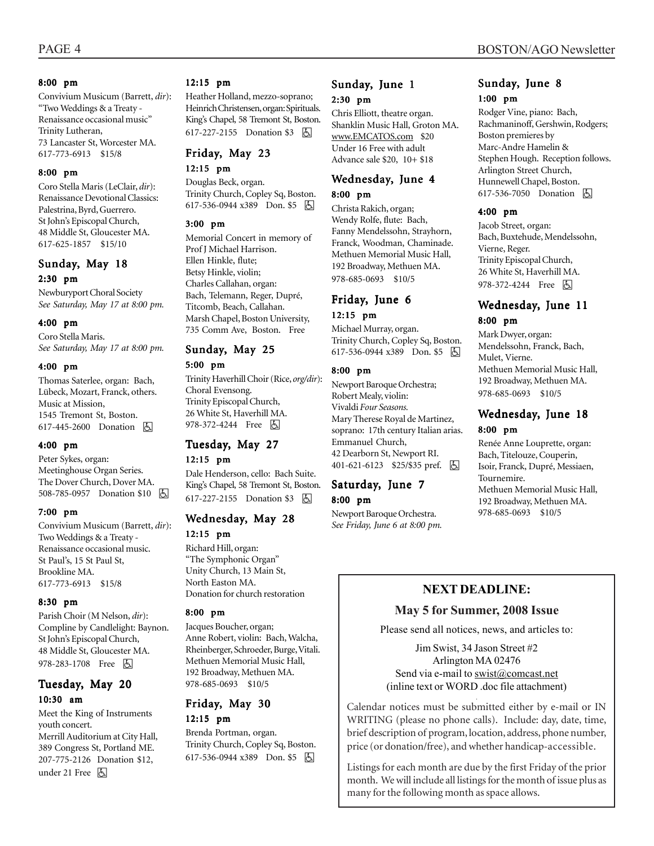#### 8:00 pm

Convivium Musicum (Barrett, *dir*): "Two Weddings & a Treaty - Renaissance occasional music" Trinity Lutheran, 73 Lancaster St, Worcester MA. 617-773-6913 \$15/8

#### 8:00 pm

Coro Stella Maris (LeClair, *dir*): Renaissance Devotional Classics: Palestrina, Byrd, Guerrero. St John's Episcopal Church, 48 Middle St, Gloucester MA. 617-625-1857 \$15/10

#### Sunday, May 18 2:30 pm

Newburyport Choral Society *See Saturday, May 17 at 8:00 pm.*

#### 4:00 pm

Coro Stella Maris. *See Saturday, May 17 at 8:00 pm.*

#### 4:00 pm

Thomas Saterlee, organ: Bach, Lübeck, Mozart, Franck, others. Music at Mission, 1545 Tremont St, Boston. 617-445-2600 Donation h

#### 4:00 pm

Peter Sykes, organ: Meetinghouse Organ Series. The Dover Church, Dover MA. 508-785-0957 Donation \$10 因

#### 7:00 pm

Convivium Musicum (Barrett, *dir*): Two Weddings & a Treaty - Renaissance occasional music. St Paul's, 15 St Paul St, Brookline MA. 617-773-6913 \$15/8

#### 8:30 pm

Parish Choir (M Nelson, *dir*): Compline by Candlelight: Baynon. St John's Episcopal Church, 48 Middle St, Gloucester MA. 978-283-1708 Free 固

#### Tuesday, May 20 10:30 am

Meet the King of Instruments youth concert. Merrill Auditorium at City Hall, 389 Congress St, Portland ME. 207-775-2126 Donation \$12, under 21 Free <a>

#### 12:15 pm

Heather Holland, mezzo-soprano; Heinrich Christensen, organ: Spirituals. King's Chapel, 58 Tremont St, Boston. 617-227-2155 Donation \$3 | A

#### Friday, May 23

#### 12:15 pm

Douglas Beck, organ. Trinity Church, Copley Sq, Boston. 617-536-0944 x389 Don. \$5 因

#### 3:00 pm

Memorial Concert in memory of Prof J Michael Harrison. Ellen Hinkle, flute; Betsy Hinkle, violin; Charles Callahan, organ: Bach, Telemann, Reger, Dupré, Titcomb, Beach, Callahan. Marsh Chapel, Boston University, 735 Comm Ave, Boston. Free

### Sunday, May 25

#### 5:00 pm

Trinity Haverhill Choir (Rice, *org/dir*): Choral Evensong. Trinity Episcopal Church, 26 White St, Haverhill MA. 978-372-4244 Free 因

### Tuesday, May 27

#### 12:15 pm

Dale Henderson, cello: Bach Suite. King's Chapel, 58 Tremont St, Boston. 617-227-2155 Donation \$3 因

#### Wednesday, May 28 12:15 pm

Richard Hill, organ: "The Symphonic Organ" Unity Church, 13 Main St, North Easton MA. Donation for church restoration

#### 8:00 pm

Jacques Boucher, organ; Anne Robert, violin: Bach, Walcha, Rheinberger, Schroeder, Burge, Vitali. Methuen Memorial Music Hall, 192 Broadway, Methuen MA. 978-685-0693 \$10/5

#### Friday, May 30 12:15 pm

Brenda Portman, organ. Trinity Church, Copley Sq, Boston. 617-536-0944 x389 Don. \$5 | A

#### Sunday, June 1 2:30 pm

Chris Elliott, theatre organ. Shanklin Music Hall, Groton MA. www.EMCATOS.com \$20 Under 16 Free with adult Advance sale \$20, 10+ \$18

#### Wednesday, June 4 8:00 pm

Christa Rakich, organ; Wendy Rolfe, flute: Bach, Fanny Mendelssohn, Strayhorn, Franck, Woodman, Chaminade. Methuen Memorial Music Hall, 192 Broadway, Methuen MA. 978-685-0693 \$10/5

#### Friday, June 6 12:15 pm

Michael Murray, organ. Trinity Church, Copley Sq, Boston. 617-536-0944 x389 Don. \$5 因

#### 8:00 pm

Newport Baroque Orchestra; Robert Mealy, violin: Vivaldi *Four Seasons.* Mary Therese Royal de Martinez, soprano: 17th century Italian arias. Emmanuel Church, 42 Dearborn St, Newport RI. 401-621-6123 \$25/\$35 pref. **b** 

#### Saturday, June 7 8:00 pm

Newport Baroque Orchestra. *See Friday, June 6 at 8:00 pm.*

#### Sunday, June 8 1:00 pm

Rodger Vine, piano: Bach, Rachmaninoff, Gershwin, Rodgers; Boston premieres by Marc-Andre Hamelin & Stephen Hough. Reception follows. Arlington Street Church, Hunnewell Chapel, Boston. 617-536-7050 Donation **A** 

#### 4:00 pm

Jacob Street, organ: Bach, Buxtehude, Mendelssohn, Vierne, Reger. Trinity Episcopal Church, 26 White St, Haverhill MA. 978-372-4244 Free 因

#### Wednesday, June 11 8:00 pm

Mark Dwyer, organ: Mendelssohn, Franck, Bach, Mulet, Vierne. Methuen Memorial Music Hall, 192 Broadway, Methuen MA. 978-685-0693 \$10/5

#### Wednesday, June 18 8:00 pm

Renée Anne Louprette, organ: Bach, Titelouze, Couperin, Isoir, Franck, Dupré, Messiaen, Tournemire. Methuen Memorial Music Hall, 192 Broadway, Methuen MA. 978-685-0693 \$10/5

#### **NEXT DEADLINE:**

#### **May 5 for Summer, 2008 Issue**

Please send all notices, news, and articles to:

Jim Swist, 34 Jason Street #2 Arlington MA 02476 Send via e-mail to swist@comcast.net (inline text or WORD .doc file attachment)

. Calendar notices must be submitted either by e-mail or IN WRITING (please no phone calls). Include: day, date, time, brief description of program, location, address, phone number, price (or donation/free), and whether handicap-accessible.

Listings for each month are due by the first Friday of the prior month. We will include all listings for the month of issue plus as many for the following month as space allows.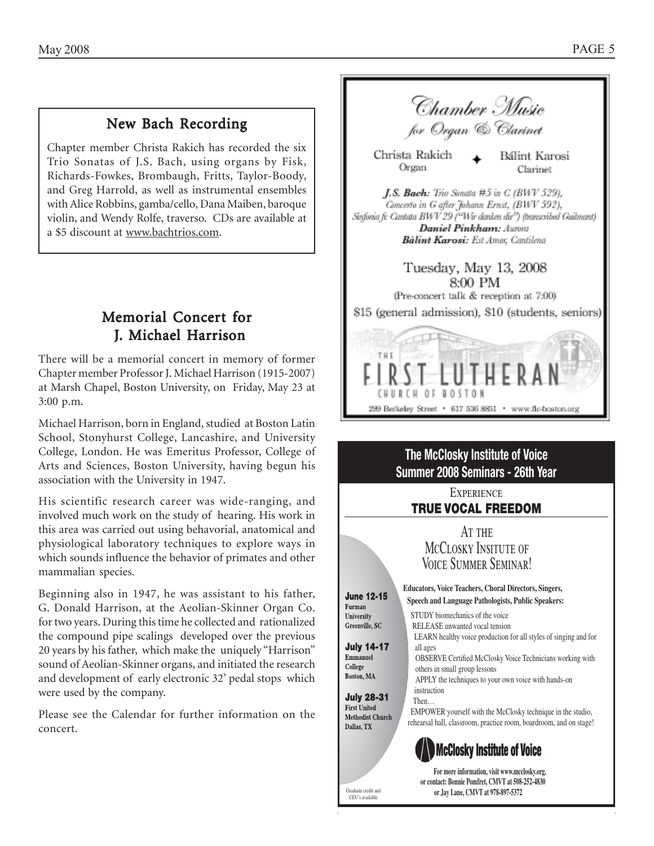### New Bach Recording

Chapter member Christa Rakich has recorded the six Trio Sonatas of J.S. Bach, using organs by Fisk, Richards-Fowkes, Brombaugh, Fritts, Taylor-Boody, and Greg Harrold, as well as instrumental ensembles with Alice Robbins, gamba/cello, Dana Maiben, baroque violin, and Wendy Rolfe, traverso. CDs are available at a \$5 discount at www.bachtrios.com.

### Memorial Concert for J. Michael Harrison

There will be a memorial concert in memory of former Chapter member Professor J. Michael Harrison (1915-2007) at Marsh Chapel, Boston University, on Friday, May 23 at 3:00 p.m.

Michael Harrison, born in England, studied at Boston Latin School, Stonyhurst College, Lancashire, and University College, London. He was Emeritus Professor, College of Arts and Sciences, Boston University, having begun his association with the University in 1947.

His scientific research career was wide-ranging, and involved much work on the study of hearing. His work in this area was carried out using behavorial, anatomical and physiological laboratory techniques to explore ways in which sounds influence the behavior of primates and other mammalian species.

Beginning also in 1947, he was assistant to his father, G. Donald Harrison, at the Aeolian-Skinner Organ Co. for two years. During this time he collected and rationalized the compound pipe scalings developed over the previous 20 years by his father, which make the uniquely "Harrison" sound of Aeolian-Skinner organs, and initiated the research and development of early electronic 32' pedal stops which were used by the company.

Please see the Calendar for further information on the concert.





CEU's available

**or contact: Bonnie Pomfret, CMVT at 508-252-4830** Graduate credit and **or Jay Lane, CMVT at 978-897-5372**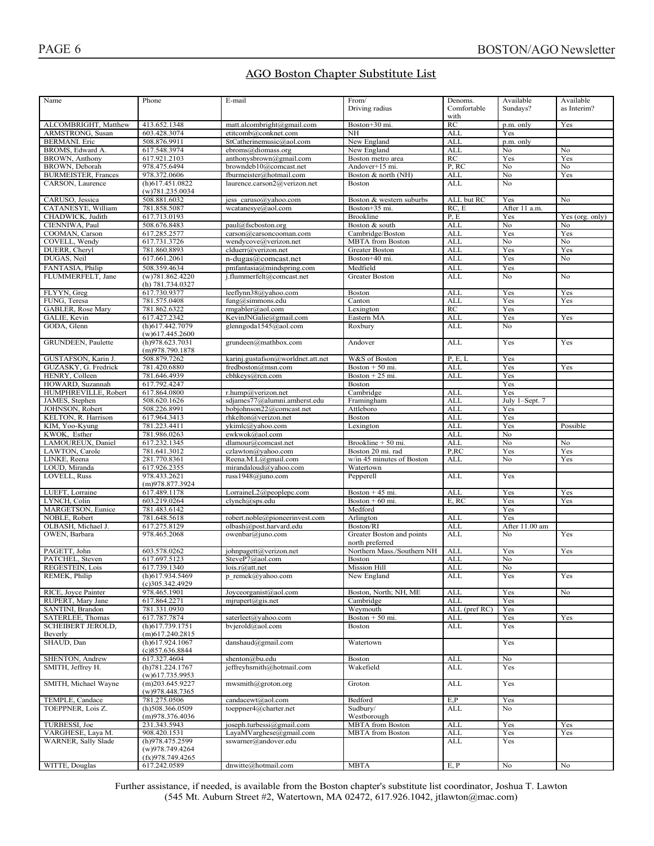### AGO Boston Chapter Substitute List

| Name                                             | Phone                                    | E-mail                                             | From/                                                     | Denoms.                  | Available            | Available       |
|--------------------------------------------------|------------------------------------------|----------------------------------------------------|-----------------------------------------------------------|--------------------------|----------------------|-----------------|
|                                                  |                                          |                                                    | Driving radius                                            | Comfortable              | Sundays?             | as Interim?     |
|                                                  |                                          |                                                    |                                                           | with                     |                      |                 |
| ALCOMBRIGHT, Matthew<br><b>ARMSTRONG, Susan</b>  | 413.652.1348<br>603.428.3074             | matt.alcombright@gmail.com<br>etitcomb@conknet.com | Boston+30 mi.<br>NH                                       | RC<br><b>ALL</b>         | p.m. only<br>Yes     | Yes             |
| <b>BERMANI</b> . Eric                            | 508.876.9911                             | StCatherinemusic@aol.com                           | New England                                               | <b>ALL</b>               | p.m. only            |                 |
| BROMS, Edward A.                                 | 617.548.3974                             | ebroms@diomass.org                                 | New England                                               | <b>ALL</b>               | No                   | No              |
| BROWN, Anthony                                   | 617.921.2103                             | anthonysbrown@gmail.com                            | Boston metro area                                         | RC                       | Yes                  | Yes             |
| <b>BROWN</b> , Deborah                           | 978.475.6494                             | browndeb10@comcast.net                             | Andover+15 mi.                                            | P, RC                    | No                   | No              |
| <b>BURMEISTER, Frances</b>                       | 978.372.0606                             | fburmeister@hotmail.com                            | Boston & north (NH)                                       | <b>ALL</b>               | No                   | Yes             |
| CARSON, Laurence                                 | $(h)$ 617.451.0822                       | laurence.carson2@verizon.net                       | <b>Boston</b>                                             | <b>ALL</b>               | No                   |                 |
|                                                  | (w)781.235.0034                          |                                                    |                                                           |                          |                      |                 |
| CARUSO, Jessica                                  | 508.881.6032                             | jess caruso@yahoo.com                              | Boston & western suburbs                                  | ALL but RC               | Yes                  | No              |
| CATANESYE, William                               | 781.858.5087                             | wcatanesye@aol.com                                 | Boston+35 mi.                                             | RC, E                    | After 11 a.m.        |                 |
| CHADWICK, Judith                                 | 617.713.0193<br>508.676.8483             |                                                    | Brookline<br>Boston & south                               | P, E<br><b>ALL</b>       | Yes<br>No            | Yes (org. only) |
| CIENNIWA, Paul<br>COOMAN, Carson                 | 617.285.2577                             | paul@fscboston.org<br>carson@carsoncooman.com      | Cambridge/Boston                                          | <b>ALL</b>               | Yes                  | No<br>Yes       |
| COVELL, Wendy                                    | 617.731.3726                             | wendycove@verizon.net                              | <b>MBTA</b> from Boston                                   | <b>ALL</b>               | No                   | No              |
| DUERR, Cheryl                                    | 781.860.8893                             | clduerr@verizon.net                                | Greater Boston                                            | <b>ALL</b>               | Yes                  | Yes             |
| DUGAS, Neil                                      | 617.661.2061                             | n-dugas@comcast.net                                | Boston+40 mi.                                             | <b>ALL</b>               | Yes                  | No              |
| FANTASIA, Philip                                 | 508.359.4634                             | pmfantasia@mindspring.com                          | Medfield                                                  | <b>ALL</b>               | Yes                  |                 |
| FLUMMERFELT, Jane                                | (w)781.862.4220                          | j.flummerfelt@comcast.net                          | Greater Boston                                            | <b>ALL</b>               | No                   | No              |
|                                                  | (h) 781.734.0327                         |                                                    |                                                           |                          |                      |                 |
| FLYYN, Greg                                      | 617.730.9377                             | leeflynn38@yahoo.com                               | Boston                                                    | <b>ALL</b>               | Yes                  | Yes             |
| FUNG, Teresa                                     | 781.575.0408                             | fung@simmons.edu                                   | Canton                                                    | ALL                      | Yes                  | Yes             |
| <b>GABLER, Rose Mary</b>                         | 781.862.6322                             | rmgabler@aol.com                                   | Lexington                                                 | RC                       | Yes                  |                 |
| GALIE, Kevin                                     | 617.427.2342                             | KevinJNGalie@gmail.com                             | Eastern MA                                                | <b>ALL</b>               | Yes                  | Yes             |
| GODA, Glenn                                      | (h)617.442.7079                          | glenngoda1545@aol.com                              | Roxbury                                                   | $\overline{\text{ALL}}$  | No                   |                 |
|                                                  | $(w)$ 617.445.2600                       |                                                    |                                                           |                          |                      |                 |
| GRUNDEEN, Paulette                               | (h)978.623.7031                          | grundeen@mathbox.com                               | Andover                                                   | <b>ALL</b>               | Yes                  | Yes             |
| GUSTAFSON, Karin J.                              | (m)978.790.1878<br>508.879.7262          | karinj.gustafson@worldnet.att.net                  | W&S of Boston                                             | P, E, L                  | Yes                  |                 |
| GUZASKY, G. Fredrick                             | 781.420.6880                             | fredboston@msn.com                                 | Boston $+50$ mi.                                          | <b>ALL</b>               | Yes                  | Yes             |
| HENRY, Colleen                                   | 781.646.4939                             | cbhkeys@rcn.com                                    | Boston $+25$ mi.                                          | <b>ALL</b>               | Yes                  |                 |
| HOWARD, Suzannah                                 | 617.792.4247                             |                                                    | <b>Boston</b>                                             |                          | Yes                  |                 |
| HUMPHREVILLE, Robert                             | 617.864.0800                             | r.hump@verizon.net                                 | Cambridge                                                 | <b>ALL</b>               | Yes                  |                 |
| JAMES, Stephen                                   | 508.620.1626                             | sdjames77@alumni.amherst.edu                       | Framingham                                                | <b>ALL</b>               | July 1-Sept. 7       |                 |
| JOHNSON, Robert                                  | 508.226.8991                             | bobjohnson22@comcast.net                           | Attleboro                                                 | <b>ALL</b>               | Yes                  |                 |
| KELTON, R. Harrison                              | 617.964.3413                             | rhkelton@verizon.net                               | Boston                                                    | <b>ALL</b>               | Yes                  |                 |
| KIM, Yoo-Kyung                                   | 781.223.4411                             | ykimlc@yahoo.com                                   | Lexington                                                 | <b>ALL</b>               | Yes                  | Possible        |
| KWOK, Esther                                     | 781.986.0263                             | ewkwok@aol.com                                     |                                                           | <b>ALL</b>               | No                   |                 |
| LAMOUREUX, Daniel                                | 617.232.1345                             | dlamour@comcast.net                                | Brookline + 50 mi.                                        | <b>ALL</b>               | No                   | No              |
| LAWTON, Carole                                   | 781.641.3012                             | czlawton@yahoo.com                                 | Boston 20 mi. rad                                         | P,RC                     | Yes                  | Yes             |
| LINKE, Reena                                     | 281.770.8361                             | Reena.M.L@gmail.com                                | $w/in 45$ minutes of Boston                               | <b>ALL</b>               | No                   | Yes             |
| LOUD, Miranda                                    | 617.926.2355                             | mirandaloud@yahoo.com                              | Watertown                                                 |                          |                      |                 |
| LOVELL, Russ                                     | 978.433.2621<br>(m)978.877.3924          | russ1948@juno.com                                  | Pepperell                                                 | <b>ALL</b>               | Yes                  |                 |
| LUEFT, Lorraine                                  | 617.489.1178                             | LorraineL2@peoplepc.com                            | Boston $+45$ mi.                                          | <b>ALL</b>               | Yes                  | Yes             |
| LYNCH, Colin                                     | 603.219.0264                             | clynch@sps.edu                                     | Boston $+60$ mi.                                          | E, RC                    | Yes                  | Yes             |
| MARGETSON, Eunice                                | 781.483.6142                             |                                                    | Medford                                                   |                          | Yes                  |                 |
| NOBLE, Robert                                    | 781.648.5618                             | robert.noble@pioneerinvest.com                     | Arlington                                                 | <b>ALL</b>               | Yes                  |                 |
| OLBASH, Michael J.<br>OWEN, Barbara              | 617.275.8129<br>978.465.2068             | olbash@post.harvard.edu<br>owenbar@juno.com        | Boston/RI<br>Greater Boston and points<br>north preferred | <b>ALL</b><br><b>ALL</b> | After 11.00 am<br>No | Yes             |
| PAGETT, John                                     | 603.578.0262                             | johnpagett@verizon.net                             | Northern Mass./Southern NH                                | <b>ALL</b>               | Yes                  | Yes             |
| PATCHEL, Steven                                  | 617.697.5123                             | SteveP7@aol.com                                    | Boston                                                    | <b>ALL</b>               | No                   |                 |
| REGESTEIN, Lois                                  | 617.739.1340                             | $lois.r(a)$ att.net                                | <b>Mission Hill</b>                                       | <b>ALL</b>               | No                   |                 |
| REMEK, Philip                                    | $(h)$ 617.934.5469<br>$(c)$ 305.342.4929 | p remek@yahoo.com                                  | New England                                               | <b>ALL</b>               | Yes                  | Yes             |
| RICE, Joyce Painter                              | 978.465.1901                             | Joyceorganist@aol.com                              | Boston, North; NH, ME                                     | <b>ALL</b>               | Yes                  | No              |
| RUPERT, Mary Jane                                | 617.864.2271                             | $m$ jrupert@gis.net                                | Cambridge                                                 | <b>ALL</b>               | Yes                  |                 |
| SANTINI, Brandon                                 | 781.331.0930                             |                                                    | Weymouth                                                  | ALL (pref RC)            | Yes                  |                 |
| SATERLEE, Thomas                                 | 617.787.7874                             | saterleet@yahoo.com                                | Boston $+50$ mi.                                          | <b>ALL</b>               | Yes                  | Yes             |
| SCHEIBERT JEROLD,                                | $(h)$ 617.739.1751                       | bvjerold@aol.com                                   | <b>Boston</b>                                             | <b>ALL</b>               | Yes                  |                 |
| Beverly                                          | $(m)$ 617.240.2815                       |                                                    |                                                           |                          |                      |                 |
| SHAUD, Dan                                       | (h)617.924.1067<br>(c)857.636.8844       | danshaud@gmail.com                                 | Watertown                                                 |                          | Yes                  |                 |
| SHENTON, Andrew                                  | 617.327.4604                             | shenton@bu.edu                                     | Boston                                                    | <b>ALL</b>               | No                   |                 |
| SMITH, Jeffrey H.                                | (h)781.224.1767                          | jeffreyhsmith@hotmail.com                          | Wakefield                                                 | ALL                      | Yes                  |                 |
| SMITH, Michael Wayne                             | $(w)$ 617.735.9953<br>$(m)$ 203.645.9227 | mwsmith@groton.org                                 | Groton                                                    | <b>ALL</b>               | Yes                  |                 |
|                                                  | (w)978.448.7365                          |                                                    |                                                           |                          |                      |                 |
| TEMPLE, Candace                                  | 781.275.0506                             | candacewt@aol.com                                  | Bedford                                                   | E, P                     | Yes                  |                 |
| TOEPPNER, Lois Z.                                | $(h)$ 508.366.0509                       | toeppner4@charter.net                              | Sudbury/                                                  | <b>ALL</b>               | No                   |                 |
|                                                  | (m)978.376.4036                          |                                                    | Westborough                                               |                          |                      |                 |
| TURBESSI, Joe                                    | 231.343.5943                             | joseph.turbessi@gmail.com                          | <b>MBTA</b> from Boston                                   | <b>ALL</b>               | Yes                  | Yes             |
| VARGHESE, Laya M.<br><b>WARNER</b> , Sally Slade | 908.420.1531<br>(h)978.475.2599          | LayaMVarghese@gmail.com                            | <b>MBTA</b> from Boston                                   | <b>ALL</b>               | Yes                  | Yes             |
|                                                  | (w)978.749.4264<br>(fx)978.749.4265      | sswarner@andover.edu                               |                                                           | ALL                      | Yes                  |                 |
| WITTE, Douglas                                   | 617.242.0589                             | dnwitte@hotmail.com                                | <b>MBTA</b>                                               | E, P                     | No                   | No              |

Further assistance, if needed, is available from the Boston chapter's substitute list coordinator. Joshua T. Lawton  $(545 \text{ Mt}$ . Auburn Street #2, Watertown, MA 02472, 617.926.1042, itlawton@mac.com)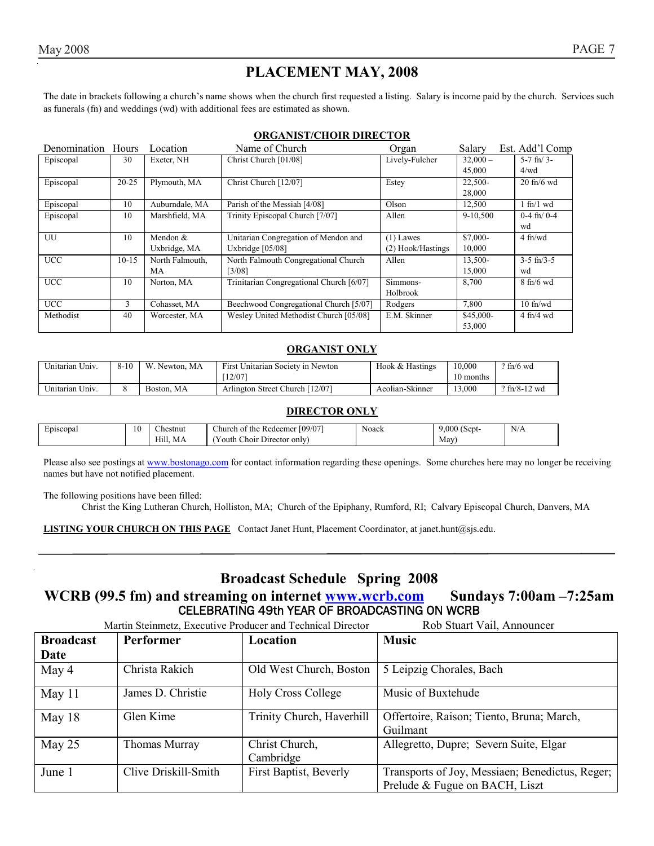### **PLACEMENT MAY, 2008**

The date in brackets following a church's name shows when the church first requested a listing. Salary is income paid by the church. Services such as funerals (fn) and weddings (wd) with additional fees are estimated as shown.

#### **ORGANIST/CHOIR DIRECTOR**

| Denomination Hours |           | Location        | Name of Church                           | Organ             | Salary     | Est. Add'l Comp     |
|--------------------|-----------|-----------------|------------------------------------------|-------------------|------------|---------------------|
| Episcopal          | 30        | Exeter, NH      | Christ Church [01/08]                    | Lively-Fulcher    | $32,000 -$ | $5-7$ fn/ $3-$      |
|                    |           |                 |                                          |                   | 45,000     | 4/wd                |
| Episcopal          | $20 - 25$ | Plymouth, MA    | Christ Church [12/07]                    | Estey             | 22,500-    | $20$ fn/6 wd        |
|                    |           |                 |                                          |                   | 28,000     |                     |
| Episcopal          | 10        | Auburndale, MA  | Parish of the Messiah [4/08]             | Olson             | 12,500     | $1$ fn/ $1$ wd      |
| Episcopal          | 10        | Marshfield, MA  | Trinity Episcopal Church [7/07]          | Allen             | 9-10.500   | $0-4$ fn/ $0-4$     |
|                    |           |                 |                                          |                   |            | wd                  |
| UU                 | 10        | Mendon &        | Unitarian Congregation of Mendon and     | $(1)$ Lawes       | $$7.000-$  | $4$ fn/wd           |
|                    |           | Uxbridge, MA    | Uxbridge $[05/08]$                       | (2) Hook/Hastings | 10,000     |                     |
| <b>UCC</b>         | $10-15$   | North Falmouth, | North Falmouth Congregational Church     | Allen             | 13,500-    | $3-5$ fn/ $3-5$     |
|                    |           | МA              | $[3/08]$                                 |                   | 15,000     | wd                  |
| <b>UCC</b>         | 10        | Norton, MA      | Trinitarian Congregational Church [6/07] | Simmons-          | 8,700      | $8 \text{ fh/6}$ wd |
|                    |           |                 |                                          | Holbrook          |            |                     |
| <b>UCC</b>         | 3         | Cohasset, MA    | Beechwood Congregational Church [5/07]   | Rodgers           | 7,800      | $10$ fn/wd          |
| Methodist          | 40        | Worcester, MA   | Wesley United Methodist Church [05/08]   | E.M. Skinner      | \$45,000-  | $4$ fn/4 wd         |
|                    |           |                 |                                          |                   | 53,000     |                     |

#### **ORGANIST ONLY**

| Unitarian Univ. | $8 - 10$ | W.<br>Newton, MA | First Unitarian Society in Newton | Hook & Hastings | 10.000    | $\frac{9 \text{ ft}}{6 \text{ wd}}$ |
|-----------------|----------|------------------|-----------------------------------|-----------------|-----------|-------------------------------------|
|                 |          |                  | 12/07                             |                 | 10 months |                                     |
| Unitarian Univ. |          | Boston, MA       | Arlington Street Church [12/07]   | Aeolian-Skinner | 13.000    | $9 \text{ ft}$ /8-12 wd             |

#### **DIRECTOR ONLY**

| ∽<br>Episcopal<br> | 10 | $\sim$<br>hestnut: | (09/07)<br>.hurch<br>the<br>Redeemer<br>∖ot | Noack | .000<br>$\sim$<br>(Sept- | N<br>N/A |
|--------------------|----|--------------------|---------------------------------------------|-------|--------------------------|----------|
|                    |    | Hill.<br>MA        | - 1<br>Director only<br>Choir<br>r outh     |       | May                      |          |

Please also see postings at www.bostonago.com for contact information regarding these openings. Some churches here may no longer be receiving names but have not notified placement.

The following positions have been filled:

Christ the King Lutheran Church, Holliston, MA; Church of the Epiphany, Rumford, RI; Calvary Episcopal Church, Danvers, MA

**LISTING YOUR CHURCH ON THIS PAGE** Contact Janet Hunt, Placement Coordinator, at janet.hunt@sjs.edu.

### **Broadcast Schedule Spring 2008**

#### WCRB (99.5 fm) and streaming on internet **www.wcrb.com** Sundays 7:00am -7:25am CELEBRATING 49th YEAR OF BROADCASTING ON WCRB

|                  | Martin Steinmetz, Executive Producer and Technical Director | Rob Stuart Vail, Announcer  |                                                                                   |
|------------------|-------------------------------------------------------------|-----------------------------|-----------------------------------------------------------------------------------|
| <b>Broadcast</b> | Performer                                                   | Location                    | <b>Music</b>                                                                      |
| Date             |                                                             |                             |                                                                                   |
| May 4            | Christa Rakich                                              | Old West Church, Boston     | 5 Leipzig Chorales, Bach                                                          |
| May 11           | James D. Christie                                           | <b>Holy Cross College</b>   | Music of Buxtehude                                                                |
| May $18$         | Glen Kime                                                   | Trinity Church, Haverhill   | Offertoire, Raison; Tiento, Bruna; March,<br>Guilmant                             |
| May $25$         | Thomas Murray                                               | Christ Church,<br>Cambridge | Allegretto, Dupre; Severn Suite, Elgar                                            |
| June 1           | Clive Driskill-Smith                                        | First Baptist, Beverly      | Transports of Joy, Messiaen; Benedictus, Reger;<br>Prelude & Fugue on BACH, Liszt |